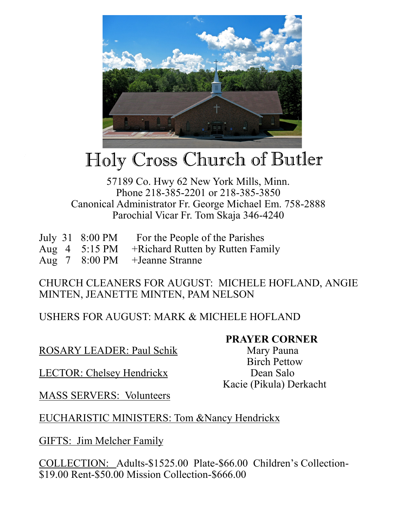

# Holy Cross Church of Butler

### 57189 Co. Hwy 62 New York Mills, Minn. Phone 218-385-2201 or 218-385-3850 Canonical Administrator Fr. George Michael Em. 758-2888 Parochial Vicar Fr. Tom Skaja 346-4240

|  | July 31 8:00 PM For the People of the Parishes                               |
|--|------------------------------------------------------------------------------|
|  | Aug $4 \quad 5:15 \text{ PM} \quad + \text{Richard Rutton by Rutton Family}$ |
|  | Aug 7 8:00 PM + Jeanne Stranne                                               |

### CHURCH CLEANERS FOR AUGUST: MICHELE HOFLAND, ANGIE MINTEN, JEANETTE MINTEN, PAM NELSON

# USHERS FOR AUGUST: MARK & MICHELE HOFLAND

## ROSARY LEADER: Paul Schik Mary Pauna

LECTOR: Chelsey Hendrickx Dean Salo

 Birch Pettow Kacie (Pikula) Derkacht

**PRAYER CORNER** 

MASS SERVERS: Volunteers

## EUCHARISTIC MINISTERS: Tom &Nancy Hendrickx

GIFTS: Jim Melcher Family

COLLECTION: Adults-\$1525.00 Plate-\$66.00 Children's Collection- \$19.00 Rent-\$50.00 Mission Collection-\$666.00